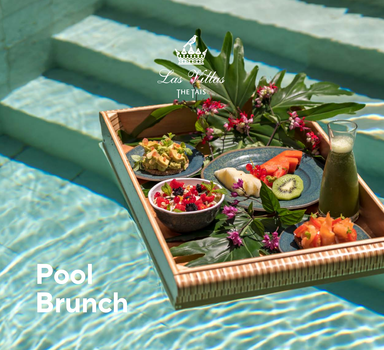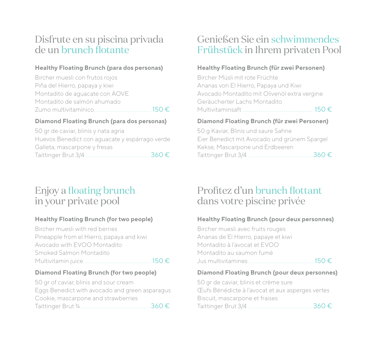# Disfrute en su piscina privada de un brunch flotante

### **Healthy Floating Brunch (para dos personas)**

| Bircher muesli con frutos rojos |  |
|---------------------------------|--|
| Piña del Hierro, papaya y kiwi  |  |
| Montadito de aguacate con AOVE  |  |
| Montadito de salmón ahumado     |  |
|                                 |  |

#### **Diamond Floating Brunch (para dos personas)**

50 gr de caviar, blinis y nata agria Huevos Benedict con aguacate y espárrago verde Galleta, mascarpone y fresas Taittinger Brut 3/4 ......................................... 360 €

# Enjoy a floating brunch in your private pool

### **Healthy Floating Brunch (for two people)**

Bircher muesli with red berries Pineapple from el Hierro, papaya and kiwi Avocado with EVOO Montadito Smoked Salmon Montadito Multivitamin juice........................................... 150 €

#### **Diamond Floating Brunch (for two people)**

50 gr of caviar, blinis and sour cream Eggs Benedict with avocado and green asparagus Cookie, mascarpone and strawberries Taittinger Brut ¾............................................ 360 €

# Genießen Sie ein schwimmendes Frühstück in Ihrem privaten Pool

### **Healthy Floating Brunch (für zwei Personen)**

Bircher Müsli mit rote Früchte Ananas von El Hierro, Papaya und Kiwi Avocado Montadito mit Olivenöl extra vergine Geräucherter Lachs Montadito Multivitaminsaft .................................... 150 €

### **Diamond Floating Brunch (für zwei Personen)**

50 g Kaviar, Blinis und saure Sahne Eier Benedict mit Avocado und grünem Spargel Kekse, Mascarpone und Erdbeeren Taittinger Brut 3/4 ........................................ 360 €

# Profitez d'un brunch flottant dans votre piscine privée

### **Healthy Floating Brunch (pour deux personnes)**

Bircher muesli avec fruits rouges Ananas de El Hierro, papaye et kiwi Montadito à l'avocat et EVOO Montadito au saumon fumé Jus multivitamines.......................................... 150 €

#### **Diamond Floating Brunch (pour deux personnes)**

50 gr de caviar, blinis et crème sure Œufs Bénédicte à l'avocat et aux asperges vertes Biscuit, mascarpone et fraises Taittinger Brut 3/4 ......................................... 360 €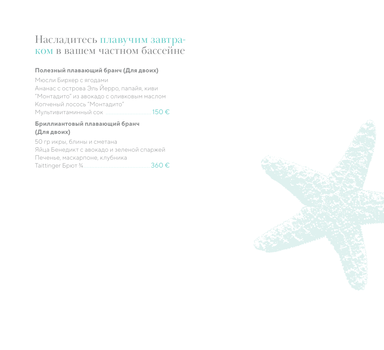# Насладитесь плавучим завтраком в вашем частном бассейне

#### **Полезный плавающий бранч (Для двоих)**

Мюсли Бирхер с ягодами Ананас с острова Эль Йерро, папайя, киви "Монтадито" из авокадо с оливковым маслом Копченый лосось "Монтадито" Мультивитаминный сок ............................. 150 €

#### **Бриллиантовый плавающий бранч (Для двоих)**

50 гр икры, блины и сметана Яйца Бенедикт с авокадо и зеленой спаржей Печенье, маскарпоне, клубника Taittinger Брют ¾.......................................... 360 €